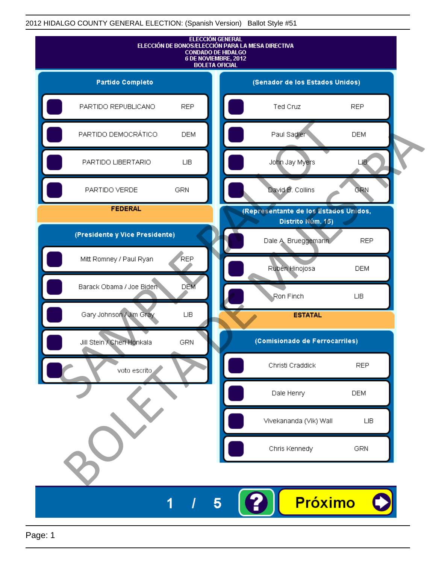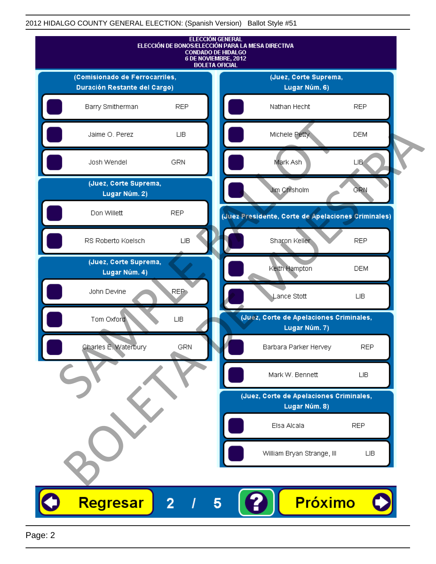

Page: 2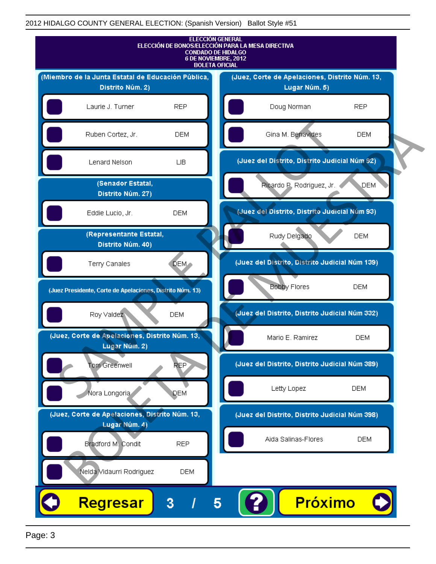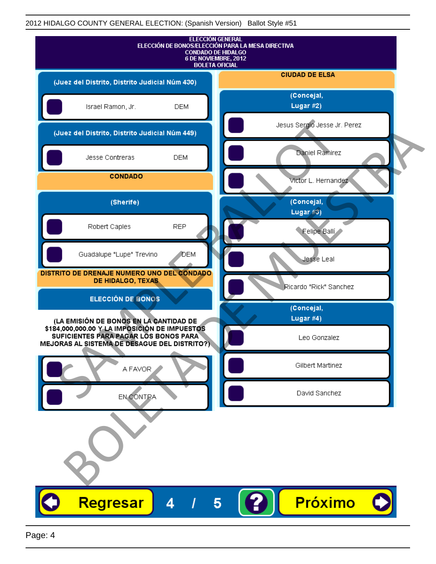| <b>ELECCIÓN GENERAL</b><br>ELECCIÓN DE BONOS/ELECCIÓN PARA LA MESA DIRECTIVA<br><b>CONDADO DE HIDALGO</b><br>6 DE NOVIEMBRE, 2012<br><b>BOLETA OFICIAL</b> |                              |
|------------------------------------------------------------------------------------------------------------------------------------------------------------|------------------------------|
| (Juez del Distrito, Distrito Judicial Núm 430)                                                                                                             | <b>CIUDAD DE ELSA</b>        |
| Israel Ramon, Jr.<br><b>DEM</b>                                                                                                                            | (Concejal,<br>Lugar #2)      |
| (Juez del Distrito, Distrito Judicial Núm 449)                                                                                                             | Jesus Sergio Jesse Jr. Perez |
| <b>DEM</b><br>Jesse Contreras                                                                                                                              | Daniel Ramirez               |
| <b>CONDADO</b>                                                                                                                                             | Victor L. Hernandez          |
| (Sherife)                                                                                                                                                  | (Concejal,<br>Lugar $#3)$    |
| <b>REP</b><br>Robert Caples                                                                                                                                | Felipe Balli                 |
| Guadalupe "Lupe" Trevino<br><b>J</b> DEM                                                                                                                   | Jesse Leal                   |
| DISTRITO DE DRENAJE NUMERO UNO DEL CONDADO<br>DE HIDALGO, TEXAS                                                                                            | Ricardo "Rick" Sanchez       |
| <b>ELECCIÓN DE BONOS</b>                                                                                                                                   | (Concejal,                   |
| (LA EMISIÓN DE BONOS EN LA CANTIDAD DE                                                                                                                     | Lugar #4)                    |
| \$184,000,000.00 Y LA IMPOSICIÓN DE IMPUESTOS<br>SUFICIENTES PARA PAGAR LOS BONOS PARA<br>MEJORAS AL SISTEMA DE DESAGUE DEL DISTRITO?)                     | Leo Gonzalez                 |
| A FAVOR                                                                                                                                                    | Gilbert Martinez             |
| EN CONTRA                                                                                                                                                  | David Sanchez                |
|                                                                                                                                                            |                              |
| Regresar<br>4                                                                                                                                              | Próximo<br>5                 |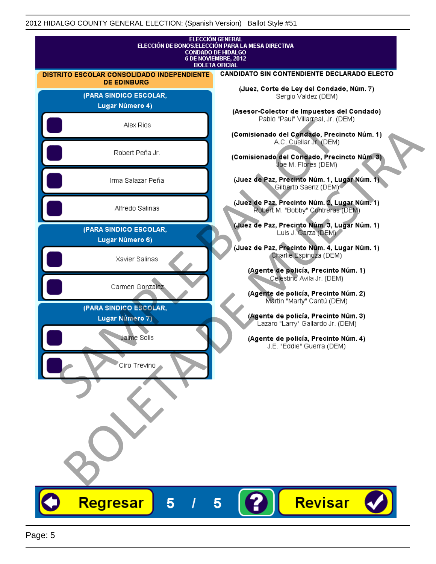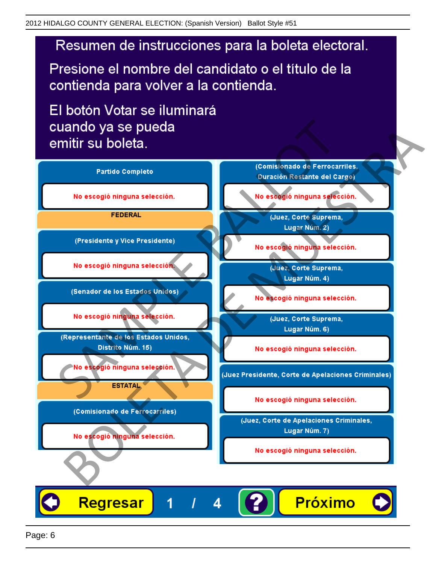## Resumen de instrucciones para la boleta electoral.

Presione el nombre del candidato o el título de la contienda para volver a la contienda.

El botón Votar se iluminará

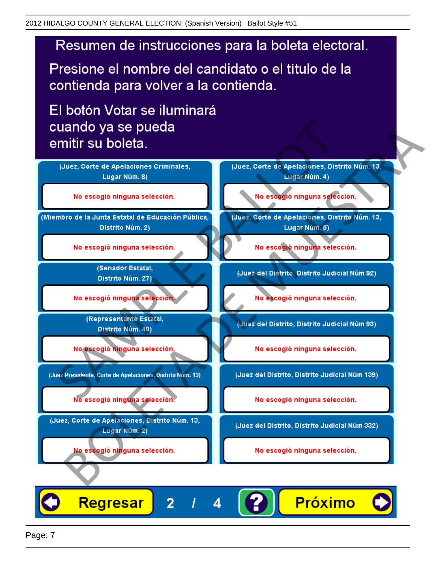## Resumen de instrucciones para la boleta electoral.

Presione el nombre del candidato o el título de la contienda para volver a la contienda.

El botón Votar se iluminará



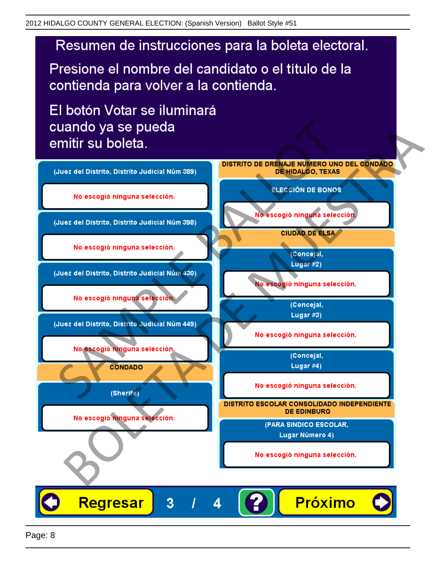

Presione el nombre del candidato o el título de la contienda para volver a la contienda.

El botón Votar se iluminará